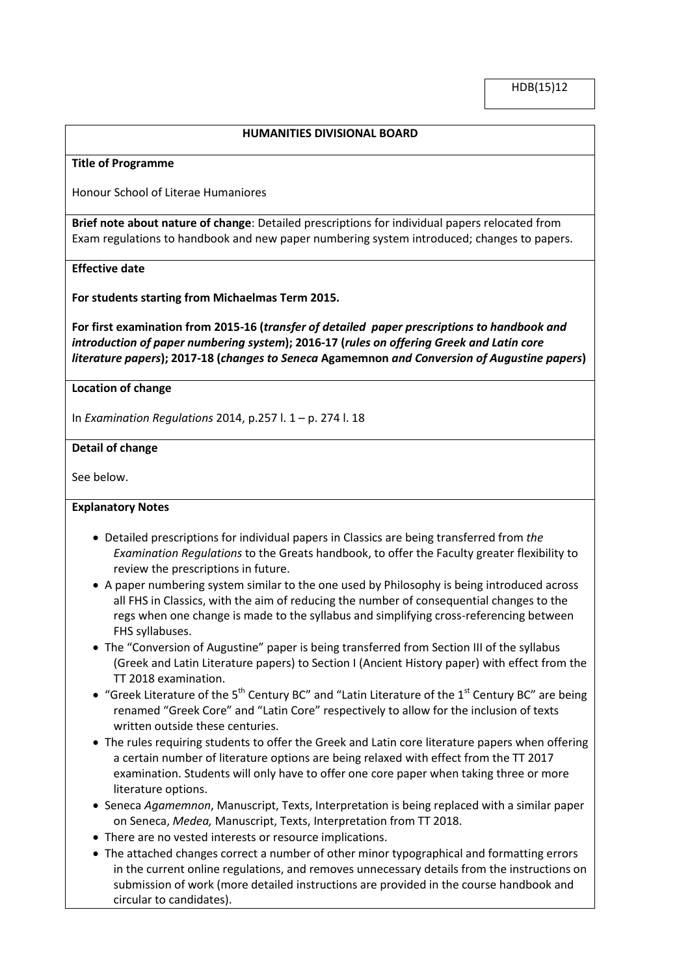## **HUMANITIES DIVISIONAL BOARD**

### **Title of Programme**

Honour School of Literae Humaniores

**Brief note about nature of change**: Detailed prescriptions for individual papers relocated from Exam regulations to handbook and new paper numbering system introduced; changes to papers.

## **Effective date**

**For students starting from Michaelmas Term 2015.**

**For first examination from 2015-16 (***transfer of detailed paper prescriptions to handbook and introduction of paper numbering system***); 2016-17 (***rules on offering Greek and Latin core literature papers***); 2017-18 (***changes to Seneca* **Agamemnon** *and Conversion of Augustine papers***)**

## **Location of change**

In *Examination Regulations* 2014, p.257 l. 1 – p. 274 l. 18

### **Detail of change**

See below.

## **Explanatory Notes**

- Detailed prescriptions for individual papers in Classics are being transferred from *the Examination Regulations* to the Greats handbook, to offer the Faculty greater flexibility to review the prescriptions in future.
- A paper numbering system similar to the one used by Philosophy is being introduced across all FHS in Classics, with the aim of reducing the number of consequential changes to the regs when one change is made to the syllabus and simplifying cross-referencing between FHS syllabuses.
- The "Conversion of Augustine" paper is being transferred from Section III of the syllabus (Greek and Latin Literature papers) to Section I (Ancient History paper) with effect from the TT 2018 examination.
- "Greek Literature of the 5<sup>th</sup> Century BC" and "Latin Literature of the 1<sup>st</sup> Century BC" are being renamed "Greek Core" and "Latin Core" respectively to allow for the inclusion of texts written outside these centuries.
- The rules requiring students to offer the Greek and Latin core literature papers when offering a certain number of literature options are being relaxed with effect from the TT 2017 examination. Students will only have to offer one core paper when taking three or more literature options.
- Seneca *Agamemnon*, Manuscript, Texts, Interpretation is being replaced with a similar paper on Seneca, *Medea,* Manuscript, Texts, Interpretation from TT 2018.
- There are no vested interests or resource implications.
- The attached changes correct a number of other minor typographical and formatting errors in the current online regulations, and removes unnecessary details from the instructions on submission of work (more detailed instructions are provided in the course handbook and circular to candidates).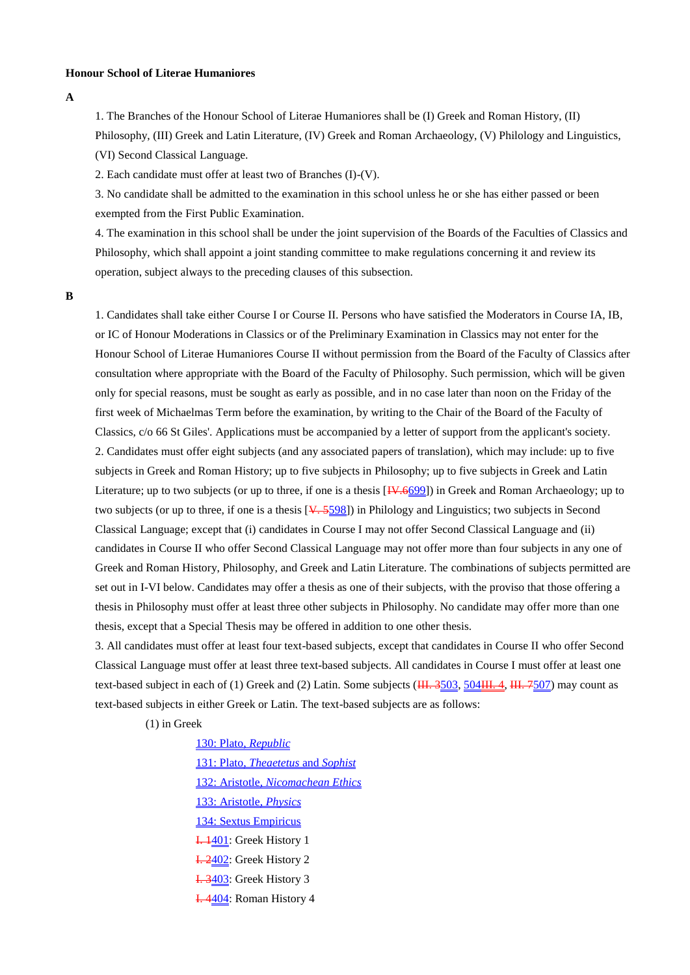### **Honour School of Literae Humaniores**

**A**

1. The Branches of the Honour School of Literae Humaniores shall be (I) Greek and Roman History, (II) Philosophy, (III) Greek and Latin Literature, (IV) Greek and Roman Archaeology, (V) Philology and Linguistics, (VI) Second Classical Language.

2. Each candidate must offer at least two of Branches (I)-(V).

3. No candidate shall be admitted to the examination in this school unless he or she has either passed or been exempted from the First Public Examination.

4. The examination in this school shall be under the joint supervision of the Boards of the Faculties of Classics and Philosophy, which shall appoint a joint standing committee to make regulations concerning it and review its operation, subject always to the preceding clauses of this subsection.

**B**

1. Candidates shall take either Course I or Course II. Persons who have satisfied the Moderators in Course IA, IB, or IC of Honour Moderations in Classics or of the Preliminary Examination in Classics may not enter for the Honour School of Literae Humaniores Course II without permission from the Board of the Faculty of Classics after consultation where appropriate with the Board of the Faculty of Philosophy. Such permission, which will be given only for special reasons, must be sought as early as possible, and in no case later than noon on the Friday of the first week of Michaelmas Term before the examination, by writing to the Chair of the Board of the Faculty of Classics, c/o 66 St Giles'. Applications must be accompanied by a letter of support from the applicant's society. 2. Candidates must offer eight subjects (and any associated papers of translation), which may include: up to five subjects in Greek and Roman History; up to five subjects in Philosophy; up to five subjects in Greek and Latin Literature; up to two subjects (or up to three, if one is a thesis [IV.6699]) in Greek and Roman Archaeology; up to two subjects (or up to three, if one is a thesis [ $\overline{\mathsf{V}}$ , 5598]) in Philology and Linguistics; two subjects in Second Classical Language; except that (i) candidates in Course I may not offer Second Classical Language and (ii) candidates in Course II who offer Second Classical Language may not offer more than four subjects in any one of Greek and Roman History, Philosophy, and Greek and Latin Literature. The combinations of subjects permitted are set out in I-VI below. Candidates may offer a thesis as one of their subjects, with the proviso that those offering a thesis in Philosophy must offer at least three other subjects in Philosophy. No candidate may offer more than one thesis, except that a Special Thesis may be offered in addition to one other thesis.

3. All candidates must offer at least four text-based subjects, except that candidates in Course II who offer Second Classical Language must offer at least three text-based subjects. All candidates in Course I must offer at least one text-based subject in each of (1) Greek and (2) Latin. Some subjects (HH. 3503, 504HH. 4, HH. 7507) may count as text-based subjects in either Greek or Latin. The text-based subjects are as follows:

(1) in Greek

130: Plato, *Republic* 131: Plato, *Theaetetus* and *Sophist* 132: Aristotle, *Nicomachean Ethics* 133: Aristotle, *Physics* 134: Sextus Empiricus **I.** 1401: Greek History 1 I. 2402: Greek History 2 I. 3403: Greek History 3 I. 4404: Roman History 4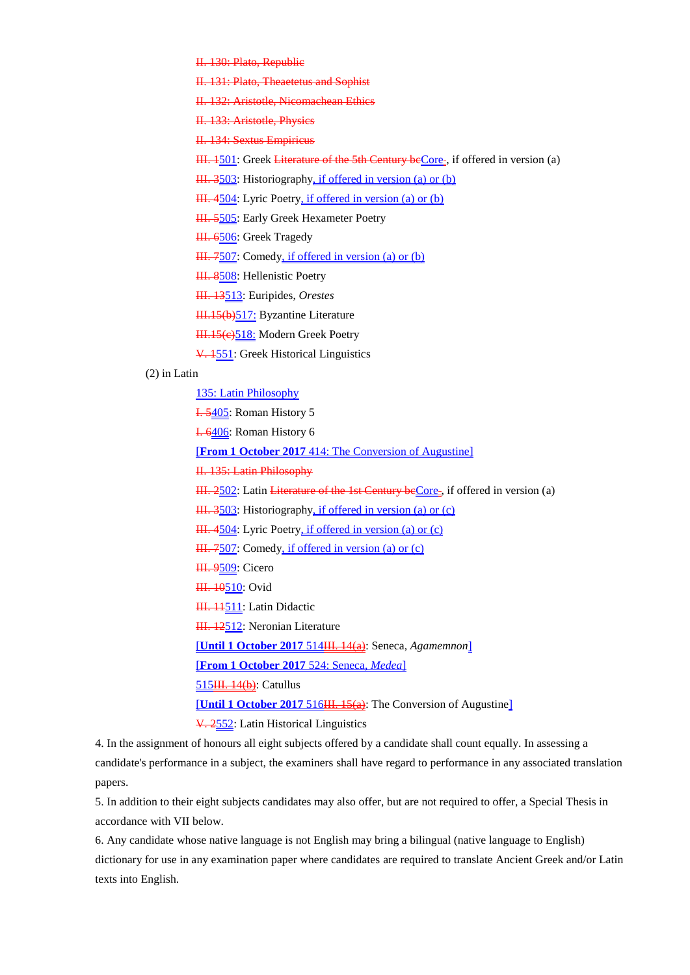II. 130: Plato, Republic

II. 131: Plato, Theaetetus and Sophist

II. 132: Aristotle, Nicomachean Ethics

II. 133: Aristotle, Physics

II. 134: Sextus Empiricus

III. 1501: Greek Literature of the 5th Century beCore-, if offered in version (a)

III. 3503: Historiography, if offered in version (a) or (b)

III. 4504: Lyric Poetry, if offered in version (a) or (b)

III. 5505: Early Greek Hexameter Poetry

III. 6506: Greek Tragedy

III. 7507: Comedy, if offered in version (a) or (b)

III. 8508: Hellenistic Poetry

III. 13513: Euripides, *Orestes*

III.15(b)517: Byzantine Literature

HI.15(e)518: Modern Greek Poetry

V. 1551: Greek Historical Linguistics

### (2) in Latin

135: Latin Philosophy

I. 5405: Roman History 5

I. 6406: Roman History 6

[**From 1 October 2017** 414: The Conversion of Augustine]

II. 135: Latin Philosophy

III. 2502: Latin Literature of the 1st Century beCore-, if offered in version (a)

III. 3503: Historiography, if offered in version (a) or (c)

III. 4504: Lyric Poetry, if offered in version (a) or (c)

III. 7507: Comedy, if offered in version (a) or (c)

**III. 9509**: Cicero

H. 10510: Ovid

HI. 11511: Latin Didactic

**III. 12512: Neronian Literature** 

[**Until 1 October 2017** 514III. 14(a): Seneca, *Agamemnon*]

[**From 1 October 2017** 524: Seneca, *Medea*]

515<del>III. 14(b)</del>: Catullus

[**Until 1 October 2017** 516<del>III. 15(a)</del>: The Conversion of Augustine]

V. 2552: Latin Historical Linguistics

4. In the assignment of honours all eight subjects offered by a candidate shall count equally. In assessing a candidate's performance in a subject, the examiners shall have regard to performance in any associated translation papers.

5. In addition to their eight subjects candidates may also offer, but are not required to offer, a Special Thesis in accordance with VII below.

6. Any candidate whose native language is not English may bring a bilingual (native language to English) dictionary for use in any examination paper where candidates are required to translate Ancient Greek and/or Latin texts into English.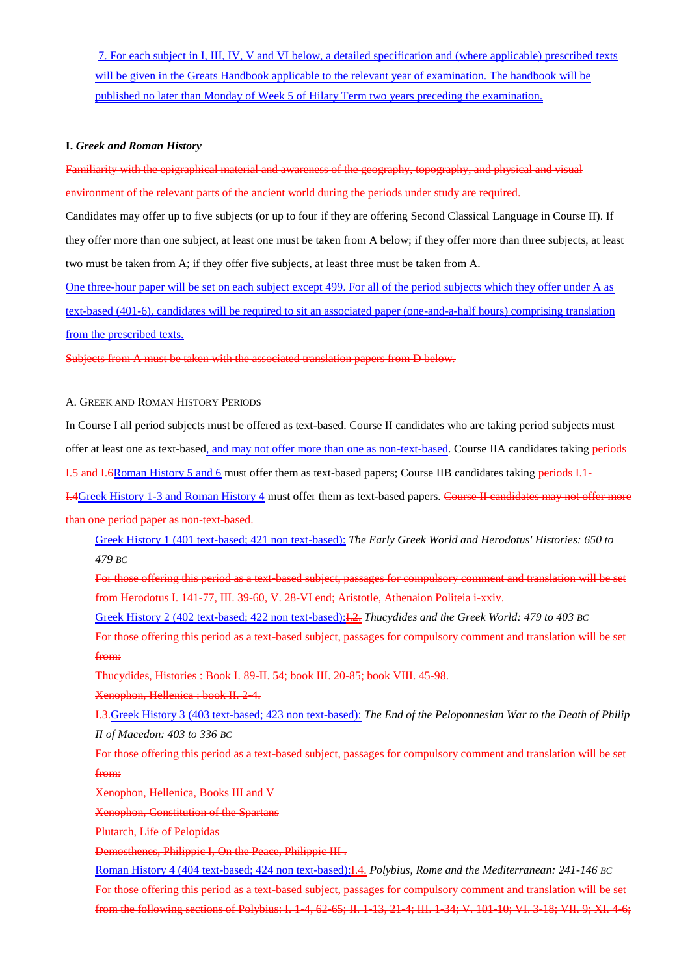7. For each subject in I, III, IV, V and VI below, a detailed specification and (where applicable) prescribed texts will be given in the Greats Handbook applicable to the relevant year of examination. The handbook will be published no later than Monday of Week 5 of Hilary Term two years preceding the examination.

#### **I.** *Greek and Roman History*

Familiarity with the epigraphical material and awareness of the geography, topography, and physical and visual environment of the relevant parts of the ancient world during the periods under study are required.

Candidates may offer up to five subjects (or up to four if they are offering Second Classical Language in Course II). If they offer more than one subject, at least one must be taken from A below; if they offer more than three subjects, at least two must be taken from A; if they offer five subjects, at least three must be taken from A.

One three-hour paper will be set on each subject except 499. For all of the period subjects which they offer under A as text-based (401-6), candidates will be required to sit an associated paper (one-and-a-half hours) comprising translation from the prescribed texts.

Subjects from A must be taken with the associated translation papers from D below.

A. GREEK AND ROMAN HISTORY PERIODS

In Course I all period subjects must be offered as text-based. Course II candidates who are taking period subjects must offer at least one as text-based, and may not offer more than one as non-text-based. Course IIA candidates taking periods

I.5 and I.6Roman History 5 and 6 must offer them as text-based papers; Course IIB candidates taking periods I.1-

I.4Greek History 1-3 and Roman History 4 must offer them as text-based papers. Course II candidates may not offer more than one period paper as non-text-based.

Greek History 1 (401 text-based; 421 non text-based): *The Early Greek World and Herodotus' Histories: 650 to 479 BC*

For those offering this period as a text-based subject, passages for compulsory comment and translation will be set from Herodotus I. 141-77, III. 39-60, V. 28-VI end; Aristotle, Athenaion Politeia i-xxiv.

Greek History 2 (402 text-based; 422 non text-based):I.2. *Thucydides and the Greek World: 479 to 403 BC*

For those offering this period as a text-based subject, passages for compulsory comment and translation will be set from:

Thucydides, Histories : Book I. 89-II. 54; book III. 20-85; book VIII. 45-98.

Xenophon, Hellenica : book II. 2-4.

I.3.Greek History 3 (403 text-based; 423 non text-based): *The End of the Peloponnesian War to the Death of Philip II of Macedon: 403 to 336 BC*

For those offering this period as a text-based subject, passages for compulsory comment and translation will be set from:

Xenophon, Hellenica, Books III and V

Xenophon, Constitution of the Spartans

Plutarch, Life of Pelopidas

Demosthenes, Philippic I, On the Peace, Philippic III .

Roman History 4 (404 text-based; 424 non text-based):I.4. *Polybius, Rome and the Mediterranean: 241-146 BC* For those offering this period as a text-based subject, passages for compulsory comment and translation will be set from the following sections of Polybius: I. 1-4, 62-65; II. 1-13, 21-4; III. 1-34; V. 101-10; VI. 3-18; VII. 9; XI. 4-6;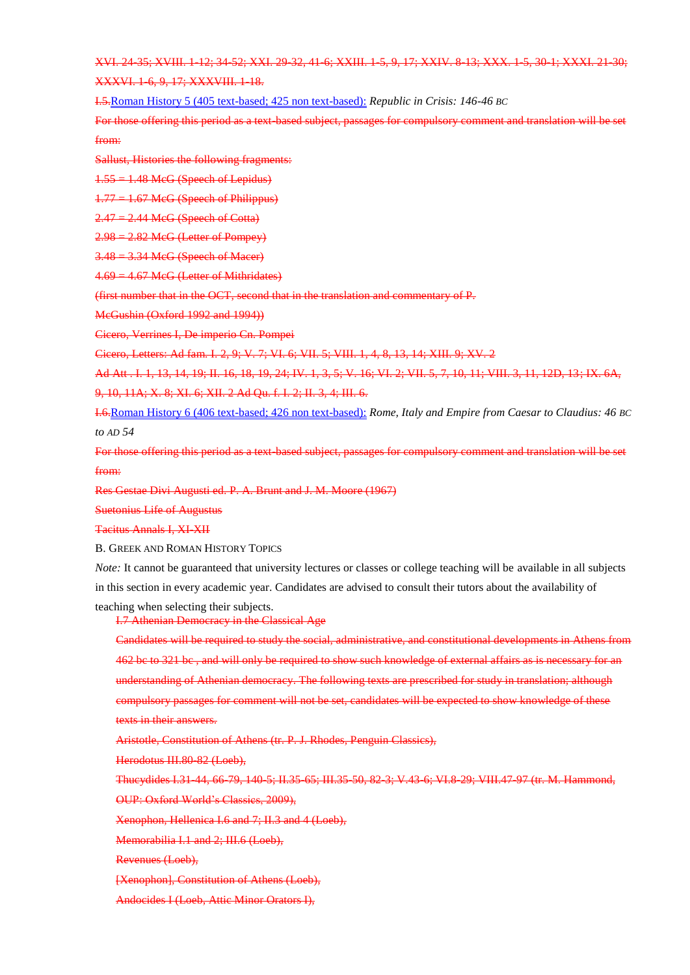XVI. 24-35; XVIII. 1-12; 34-52; XXI. 29-32, 41-6; XXIII. 1-5, 9, 17; XXIV. 8-13; XXX. 1-5, 30-1; XXXI. 21-30; XXXVI. 1-6, 9, 17; XXXVIII. 1-18.

I.5.Roman History 5 (405 text-based; 425 non text-based): *Republic in Crisis: 146-46 BC*

For those offering this period as a text-based subject, passages for compulsory comment and translation will be from:

Sallust, Histories the following fragments:

1.55 = 1.48 McG (Speech of Lepidus)

 $1.77 = 1.67$  McG (Speech of Philippus)

 $2.47 = 2.44$  MeG (Speech of Cotta)

 $2.98 = 2.82$  McG (Letter of Pompey)

3.48 = 3.34 McG (Speech of Macer)

4.69 = 4.67 McG (Letter of Mithridates)

(first number that in the OCT, second that in the translation and commentary of P.

McGushin (Oxford 1992 and 1994))

Cicero, Verrines I, De imperio Cn. Pompei

Cicero, Letters: Ad fam. I. 2, 9; V. 7; VI. 6; VII. 5; VIII. 1, 4, 8, 13, 14; XIII. 9; XV. 2

Ad Att . I. 1, 13, 14, 19; II. 16, 18, 19, 24; IV. 1, 3, 5; V. 16; VI. 2; VII. 5, 7, 10, 11; VIII. 3, 11, 12D, 13; IX. 6A,

9, 10, 11A; X. 8; XI. 6; XII. 2 Ad Qu. f. I. 2; II. 3, 4; III. 6.

I.6.Roman History 6 (406 text-based; 426 non text-based): *Rome, Italy and Empire from Caesar to Claudius: 46 BC to AD 54*

For those offering this period as a text-based subject, passages for compulsory comment and translation will be set from:

Res Gestae Divi Augusti ed. P. A. Brunt and J. M. Moore (1967)

Suetonius Life of Augustus

Tacitus Annals I, XI-XII

B. GREEK AND ROMAN HISTORY TOPICS

*Note:* It cannot be guaranteed that university lectures or classes or college teaching will be available in all subjects in this section in every academic year. Candidates are advised to consult their tutors about the availability of

teaching when selecting their subjects.

I.7 Athenian Democracy in the Classical Age

Candidates will be required to study the social, administrative, and constitutional developments in Athens from 462 bc to 321 bc , and will only be required to show such knowledge of external affairs as is necessary for an understanding of Athenian democracy. The following texts are prescribed for study in translation; although compulsory passages for comment will not be set, candidates will be expected to show knowledge of these texts in their answers.

Aristotle, Constitution of Athens (tr. P. J. Rhodes, Penguin Classics),

Herodotus III.80-82 (Loeb),

Thucydides I.31-44, 66-79, 140-5; II.35-65; III.35-50, 82-3; V.43-6; VI.8-29; VIII.47-97 (tr. M. Hammond, OUP: Oxford World's Classics, 2009),

Xenophon, Hellenica I.6 and 7; II.3 and 4 (Loeb),

Memorabilia I.1 and 2; III.6 (Loeb),

Revenues (Loeb),

[Xenophon], Constitution of Athens (Loeb),

Andocides I (Loeb, Attic Minor Orators I),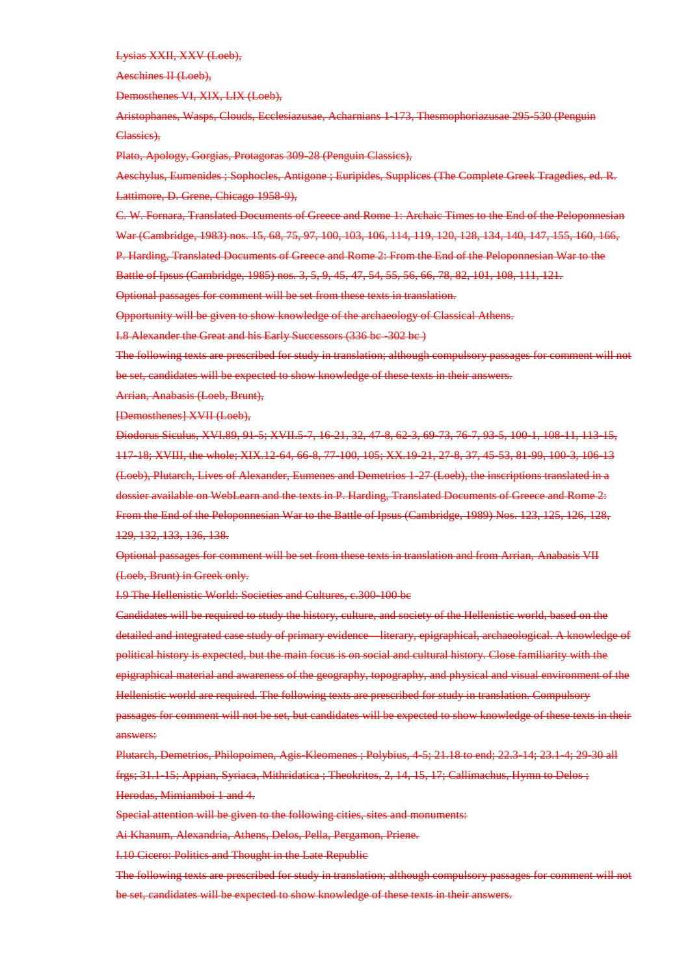Lysias XXII, XXV (Loeb),

Aeschines II (Loeb),

Demosthenes VI, XIX, LIX (Loeb),

Aristophanes, Wasps, Clouds, Ecclesiazusae, Acharnians 1-173, Thesmophoriazusae 295-530 (Penguin Classics),

Plato, Apology, Gorgias, Protagoras 309-28 (Penguin Classics),

Aeschylus, Eumenides ; Sophocles, Antigone ; Euripides, Supplices (The Complete Greek Tragedies, ed. R. Lattimore, D. Grene, Chicago 1958-9),

C. W. Fornara, Translated Documents of Greece and Rome 1: Archaic Times to the End of the Peloponnesian War (Cambridge, 1983) nos. 15, 68, 75, 97, 100, 103, 106, 114, 119, 120, 128, 134, 140, 147, 155, 160, 166, P. Harding, Translated Documents of Greece and Rome 2: From the End of the Peloponnesian War to the Battle of Ipsus (Cambridge, 1985) nos. 3, 5, 9, 45, 47, 54, 55, 56, 66, 78, 82, 101, 108, 111, 121.

Optional passages for comment will be set from these texts in translation.

Opportunity will be given to show knowledge of the archaeology of Classical Athens.

I.8 Alexander the Great and his Early Successors (336 bc -302 bc )

The following texts are prescribed for study in translation; although compulsory passages for comment will not be set, candidates will be expected to show knowledge of these texts in their answers.

Arrian, Anabasis (Loeb, Brunt),

[Demosthenes] XVII (Loeb),

Diodorus Siculus, XVI.89, 91-5; XVII.5-7, 16-21, 32, 47-8, 62-3, 69-73, 76-7, 93-5, 100-1, 108-11, 113-15, 117-18; XVIII, the whole; XIX.12-64, 66-8, 77-100, 105; XX.19-21, 27-8, 37, 45-53, 81-99, 100-3, 106-13 (Loeb), Plutarch, Lives of Alexander, Eumenes and Demetrios 1-27 (Loeb), the inscriptions translated in a dossier available on WebLearn and the texts in P. Harding, Translated Documents of Greece and Rome 2: From the End of the Peloponnesian War to the Battle of Ipsus (Cambridge, 1989) Nos. 123, 125, 126, 128, 129, 132, 133, 136, 138.

Optional passages for comment will be set from these texts in translation and from Arrian, Anabasis VII (Loeb, Brunt) in Greek only.

I.9 The Hellenistic World: Societies and Cultures, c.300-100 bc

Candidates will be required to study the history, culture, and society of the Hellenistic world, based on the detailed and integrated case study of primary evidence—literary, epigraphical, archaeological. A knowledge of political history is expected, but the main focus is on social and cultural history. Close familiarity with the epigraphical material and awareness of the geography, topography, and physical and visual environment of the Hellenistic world are required. The following texts are prescribed for study in translation. Compulsory passages for comment will not be set, but candidates will be expected to show knowledge of these texts in their answers:

Plutarch, Demetrios, Philopoimen, Agis-Kleomenes ; Polybius, 4-5; 21.18 to end; 22.3-14; 23.1-4; 29-30 all frgs; 31.1-15; Appian, Syriaca, Mithridatica ; Theokritos, 2, 14, 15, 17; Callimachus, Hymn to Delos ; Herodas, Mimiamboi 1 and 4.

Special attention will be given to the following cities, sites and monuments:

Ai Khanum, Alexandria, Athens, Delos, Pella, Pergamon, Priene.

I.10 Cicero: Politics and Thought in the Late Republic

The following texts are prescribed for study in translation; although compulsory passages for comment will not be set, candidates will be expected to show knowledge of these texts in their answers.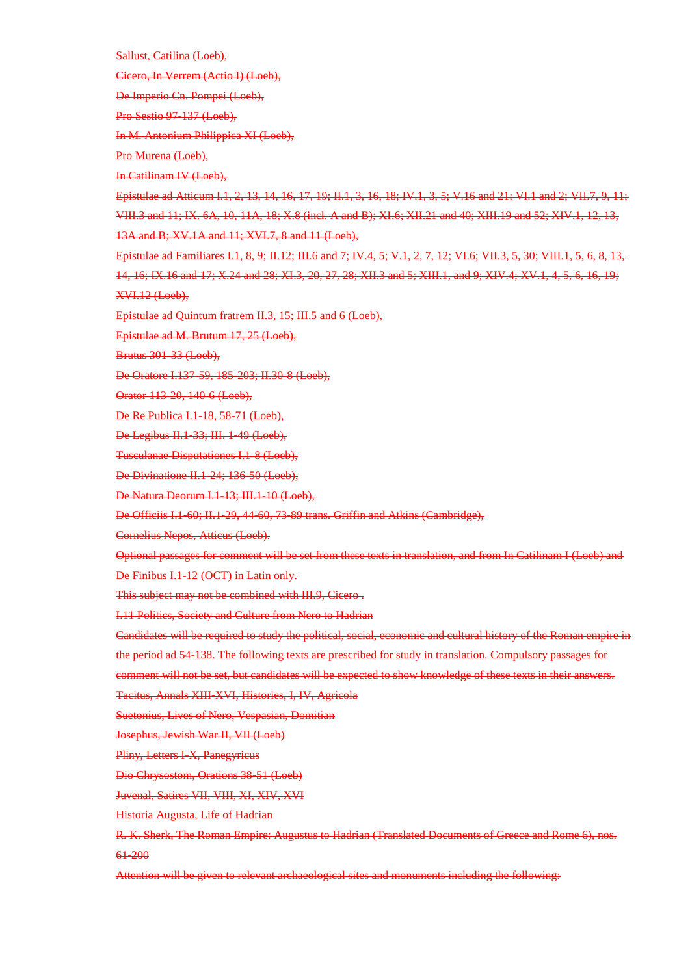Sallust, Catilina (Loeb),

Cicero, In Verrem (Actio I) (Loeb),

De Imperio Cn. Pompei (Loeb),

Pro Sestio 97-137 (Loeb),

In M. Antonium Philippica XI (Loeb),

Pro Murena (Loeb),

In Catilinam IV (Loeb),

Epistulae ad Atticum I.1, 2, 13, 14, 16, 17, 19; II.1, 3, 16, 18; IV.1, 3, 5; V.16 and 21; VI.1 and 2; VII.7, 9, 11; VIII.3 and 11; IX. 6A, 10, 11A, 18; X.8 (incl. A and B); XI.6; XII.21 and 40; XIII.19 and 52; XIV.1, 12, 13, 13A and B; XV.1A and 11; XVI.7, 8 and 11 (Loeb),

Epistulae ad Familiares I.1, 8, 9; II.12; III.6 and 7; IV.4, 5; V.1, 2, 7, 12; VI.6; VII.3, 5, 30; VIII.1, 5, 6, 8, 13,

14, 16; IX.16 and 17; X.24 and 28; XI.3, 20, 27, 28; XII.3 and 5; XIII.1, and 9; XIV.4; XV.1, 4, 5, 6, 16, 19; XVI.12 (Loeb),

Epistulae ad Quintum fratrem II.3, 15; III.5 and 6 (Loeb),

Epistulae ad M. Brutum 17, 25 (Loeb),

Brutus 301-33 (Loeb),

De Oratore I.137-59, 185-203; II.30-8 (Loeb),

Orator 113-20, 140-6 (Loeb),

De Re Publica I.1-18, 58-71 (Loeb),

De Legibus II.1-33; III. 1-49 (Loeb),

Tusculanae Disputationes I.1-8 (Loeb),

De Divinatione II.1-24; 136-50 (Loeb),

De Natura Deorum I.1-13; III.1-10 (Loeb),

De Officiis I.1-60; II.1-29, 44-60, 73-89 trans. Griffin and Atkins (Cambridge),

Cornelius Nepos, Atticus (Loeb).

Optional passages for comment will be set from these texts in translation, and from In Catilinam I (Loeb) and

De Finibus I.1-12 (OCT) in Latin only.

This subject may not be combined with III.9, Cicero .

I.11 Politics, Society and Culture from Nero to Hadrian

Candidates will be required to study the political, social, economic and cultural history of the Roman empire in

the period ad 54-138. The following texts are prescribed for study in translation. Compulsory passages for

comment will not be set, but candidates will be expected to show knowledge of these texts in their answers.

Tacitus, Annals XIII-XVI, Histories, I, IV, Agricola

Suetonius, Lives of Nero, Vespasian, Domitian

Josephus, Jewish War II, VII (Loeb)

Pliny, Letters I-X, Panegyricus

Dio Chrysostom, Orations 38-51 (Loeb)

Juvenal, Satires VII, VIII, XI, XIV, XVI

Historia Augusta, Life of Hadrian

R. K. Sherk, The Roman Empire: Augustus to Hadrian (Translated Documents of Greece and Rome 6), nos. 61-200

Attention will be given to relevant archaeological sites and monuments including the following: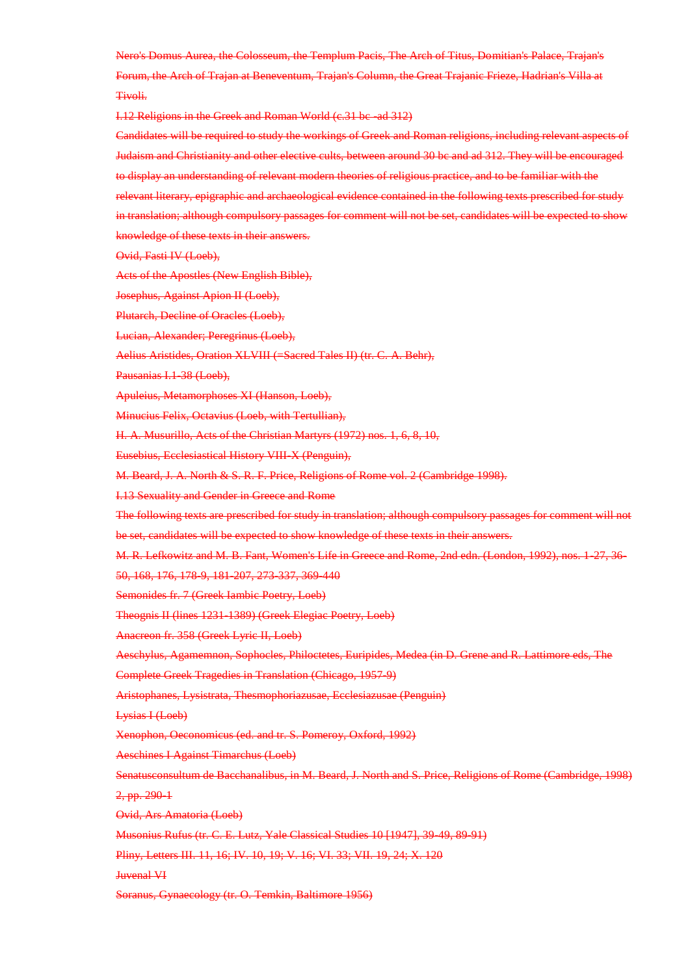Nero's Domus Aurea, the Colosseum, the Templum Pacis, The Arch of Titus, Domitian's Palace, Trajan's Forum, the Arch of Trajan at Beneventum, Trajan's Column, the Great Trajanic Frieze, Hadrian's Villa at Tivoli.

I.12 Religions in the Greek and Roman World (c.31 bc -ad 312)

Candidates will be required to study the workings of Greek and Roman religions, including relevant aspects of Judaism and Christianity and other elective cults, between around 30 bc and ad 312. They will be encouraged to display an understanding of relevant modern theories of religious practice, and to be familiar with the relevant literary, epigraphic and archaeological evidence contained in the following texts prescribed for study in translation; although compulsory passages for comment will not be set, candidates will be expected to show knowledge of these texts in their answers.

Ovid, Fasti IV (Loeb),

Acts of the Apostles (New English Bible),

Josephus, Against Apion II (Loeb),

Plutarch, Decline of Oracles (Loeb),

Lucian, Alexander; Peregrinus (Loeb),

Aelius Aristides, Oration XLVIII (=Sacred Tales II) (tr. C. A. Behr),

Pausanias I.1-38 (Loeb).

Apuleius, Metamorphoses XI (Hanson, Loeb),

Minucius Felix, Octavius (Loeb, with Tertullian),

H. A. Musurillo, Acts of the Christian Martyrs (1972) nos. 1, 6, 8, 10,

Eusebius, Ecclesiastical History VIII-X (Penguin),

M. Beard, J. A. North & S. R. F. Price, Religions of Rome vol. 2 (Cambridge 1998).

I.13 Sexuality and Gender in Greece and Rome

The following texts are prescribed for study in translation; although compulsory passages for comment will not be set, candidates will be expected to show knowledge of these texts in their answers.

M. R. Lefkowitz and M. B. Fant, Women's Life in Greece and Rome, 2nd edn. (London, 1992), nos. 1-27, 36-

50, 168, 176, 178-9, 181-207, 273-337, 369-440

Semonides fr. 7 (Greek Iambic Poetry, Loeb)

Theognis II (lines 1231-1389) (Greek Elegiac Poetry, Loeb)

Anacreon fr. 358 (Greek Lyric II, Loeb)

Aeschylus, Agamemnon, Sophocles, Philoctetes, Euripides, Medea (in D. Grene and R. Lattimore eds, The

Complete Greek Tragedies in Translation (Chicago, 1957-9)

Aristophanes, Lysistrata, Thesmophoriazusae, Ecclesiazusae (Penguin)

Lysias I (Loeb)

Xenophon, Oeconomicus (ed. and tr. S. Pomeroy, Oxford, 1992)

Aeschines I Against Timarchus (Loeb)

Senatusconsultum de Bacchanalibus, in M. Beard, J. North and S. Price, Religions of Rome (Cambridge, 1998)

2, pp. 290 1

Ovid, Ars Amatoria (Loeb)

Musonius Rufus (tr. C. E. Lutz, Yale Classical Studies 10 [1947], 39-49, 89-91)

Pliny, Letters III. 11, 16; IV. 10, 19; V. 16; VI. 33; VII. 19, 24; X. 120

Juvenal VI

Soranus, Gynaecology (tr. O. Temkin, Baltimore 1956)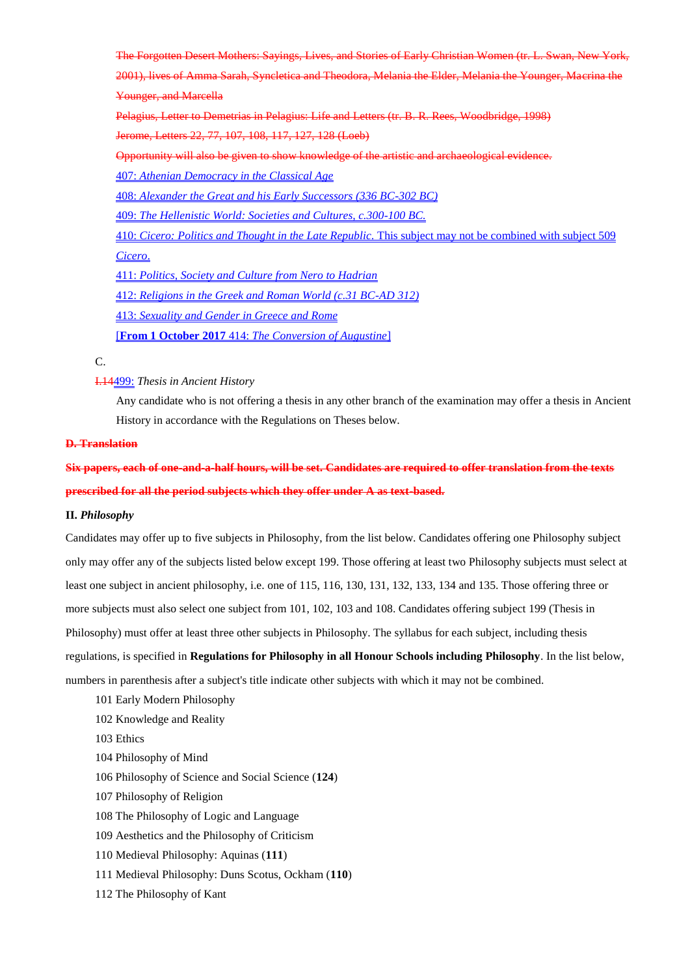The Forgotten Desert Mothers: Sayings, Lives, and Stories of Early Christian Women (tr. L. Swan, New York,

2001), lives of Amma Sarah, Syncletica and Theodora, Melania the Elder, Melania the Younger, Macrina the Younger, and Marcella

Pelagius, Letter to Demetrias in Pelagius: Life and Letters (tr. B. R. Rees, Woodbridge, 1998)

Jerome, Letters 22, 77, 107, 108, 117, 127, 128 (Loeb)

Opportunity will also be given to show knowledge of the artistic and archaeological evidence.

407: *Athenian Democracy in the Classical Age*

408: *Alexander the Great and his Early Successors (336 BC-302 BC)*

409: *The Hellenistic World: Societies and Cultures, c.300-100 BC.*

410: *Cicero: Politics and Thought in the Late Republic.* This subject may not be combined with subject 509 *Cicero*.

411: *Politics, Society and Culture from Nero to Hadrian*

412: *Religions in the Greek and Roman World (c.31 BC-AD 312)*

413: *Sexuality and Gender in Greece and Rome*

[**From 1 October 2017** 414: *The Conversion of Augustine*]

C.

## I.14499: *Thesis in Ancient History*

Any candidate who is not offering a thesis in any other branch of the examination may offer a thesis in Ancient History in accordance with the Regulations on Theses below.

#### **D. Translation**

**Six papers, each of one-and-a-half hours, will be set. Candidates are required to offer translation from the texts prescribed for all the period subjects which they offer under A as text-based.**

#### **II.** *Philosophy*

Candidates may offer up to five subjects in Philosophy, from the list below. Candidates offering one Philosophy subject only may offer any of the subjects listed below except 199. Those offering at least two Philosophy subjects must select at least one subject in ancient philosophy, i.e. one of 115, 116, 130, 131, 132, 133, 134 and 135. Those offering three or more subjects must also select one subject from 101, 102, 103 and 108. Candidates offering subject 199 (Thesis in Philosophy) must offer at least three other subjects in Philosophy. The syllabus for each subject, including thesis regulations, is specified in **Regulations for Philosophy in all Honour Schools including Philosophy**. In the list below, numbers in parenthesis after a subject's title indicate other subjects with which it may not be combined.

- 101 Early Modern Philosophy
- 102 Knowledge and Reality
- 103 Ethics
- 104 Philosophy of Mind
- 106 Philosophy of Science and Social Science (**124**)
- 107 Philosophy of Religion
- 108 The Philosophy of Logic and Language
- 109 Aesthetics and the Philosophy of Criticism
- 110 Medieval Philosophy: Aquinas (**111**)
- 111 Medieval Philosophy: Duns Scotus, Ockham (**110**)
- 112 The Philosophy of Kant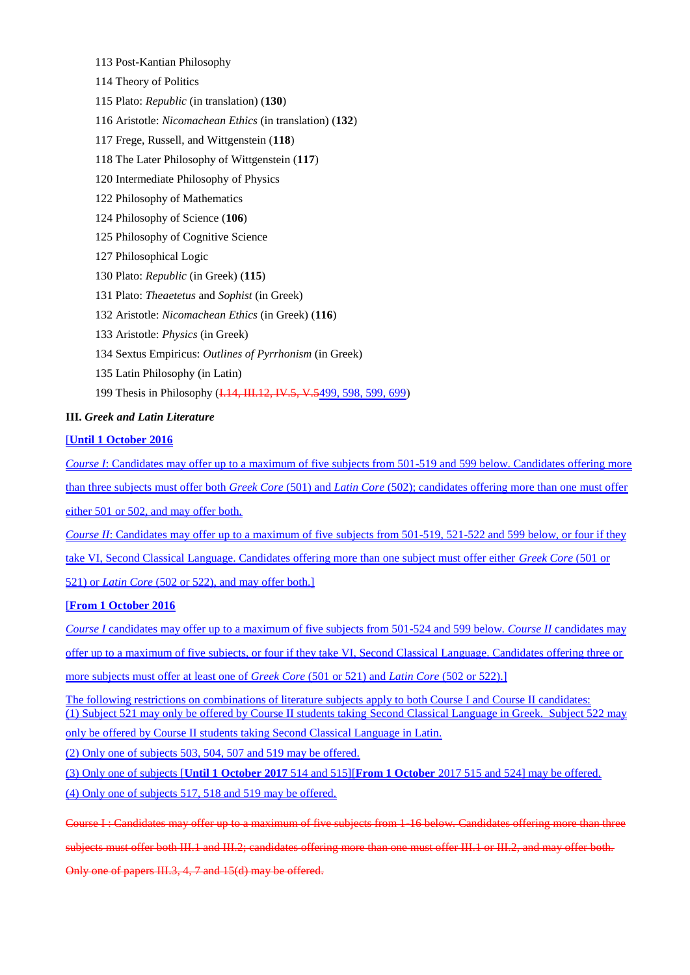- 113 Post-Kantian Philosophy
- 114 Theory of Politics
- 115 Plato: *Republic* (in translation) (**130**)
- 116 Aristotle: *Nicomachean Ethics* (in translation) (**132**)
- 117 Frege, Russell, and Wittgenstein (**118**)
- 118 The Later Philosophy of Wittgenstein (**117**)
- 120 Intermediate Philosophy of Physics
- 122 Philosophy of Mathematics
- 124 Philosophy of Science (**106**)
- 125 Philosophy of Cognitive Science
- 127 Philosophical Logic
- 130 Plato: *Republic* (in Greek) (**115**)
- 131 Plato: *Theaetetus* and *Sophist* (in Greek)
- 132 Aristotle: *Nicomachean Ethics* (in Greek) (**116**)
- 133 Aristotle: *Physics* (in Greek)
- 134 Sextus Empiricus: *Outlines of Pyrrhonism* (in Greek)
- 135 Latin Philosophy (in Latin)
- 199 Thesis in Philosophy (I.14, III.12, IV.5, V.5499, 598, 599, 699)

## **III.** *Greek and Latin Literature*

## [**Until 1 October 2016**

*Course I*: Candidates may offer up to a maximum of five subjects from 501-519 and 599 below. Candidates offering more than three subjects must offer both *Greek Core* (501) and *Latin Core* (502); candidates offering more than one must offer either 501 or 502, and may offer both.

*Course II*: Candidates may offer up to a maximum of five subjects from 501-519, 521-522 and 599 below, or four if they take VI, Second Classical Language. Candidates offering more than one subject must offer either *Greek Core* (501 or

521) or *Latin Core* (502 or 522), and may offer both.]

# [**From 1 October 2016**

*Course I* candidates may offer up to a maximum of five subjects from 501-524 and 599 below. *Course II* candidates may offer up to a maximum of five subjects, or four if they take VI, Second Classical Language. Candidates offering three or more subjects must offer at least one of *Greek Core* (501 or 521) and *Latin Core* (502 or 522).]

The following restrictions on combinations of literature subjects apply to both Course I and Course II candidates: (1) Subject 521 may only be offered by Course II students taking Second Classical Language in Greek. Subject 522 may only be offered by Course II students taking Second Classical Language in Latin.

(2) Only one of subjects 503, 504, 507 and 519 may be offered.

(3) Only one of subjects [**Until 1 October 2017** 514 and 515][**From 1 October** 2017 515 and 524] may be offered. (4) Only one of subjects 517, 518 and 519 may be offered.

Course I : Candidates may offer up to a maximum of five subjects from 1-16 below. Candidates offering more than three

subjects must offer both III.1 and III.2; candidates offering more than one must offer III.1 or III.2, and may offer both.

Only one of papers III.3, 4, 7 and 15(d) may be offered.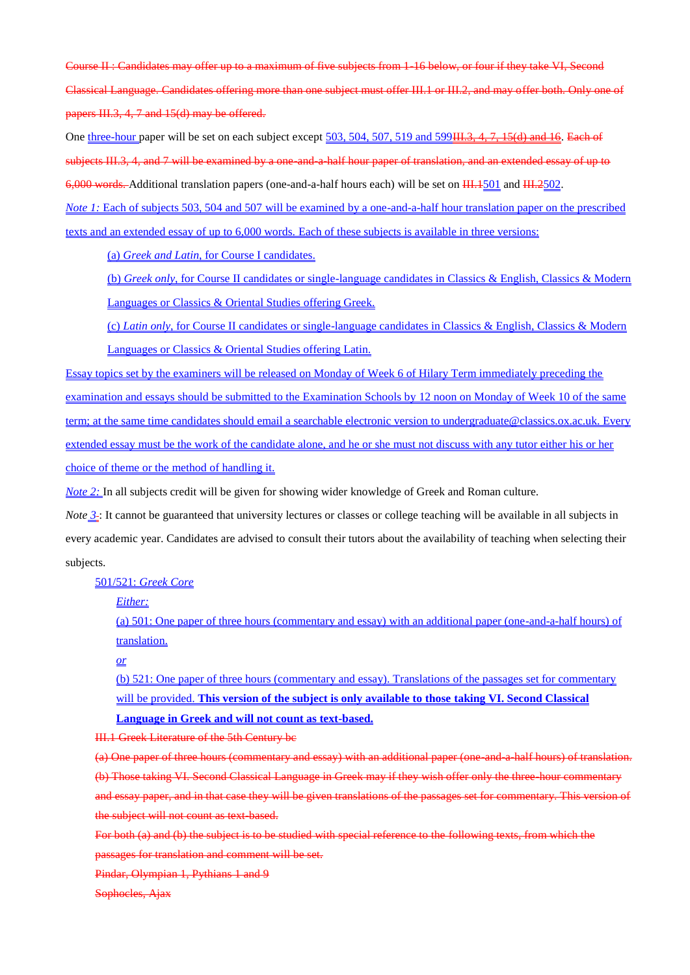Course II : Candidates may offer up to a maximum of five subjects from 1-16 below, or four if they take VI, Second Classical Language. Candidates offering more than one subject must offer III.1 or III.2, and may offer both. Only one of papers III.3, 4, 7 and 15(d) may be offered.

One three-hour paper will be set on each subject except 503, 504, 507, 519 and 599<del>III.3, 4, 7, 15(d) and 16</del>. Each of subjects III.3, 4, and 7 will be examined by a one-and-a-half hour paper of translation, and an extended essay of up to 6,000 words. Additional translation papers (one-and-a-half hours each) will be set on  $\frac{111.1501}{111.2502}$ .

*Note 1*: Each of subjects 503, 504 and 507 will be examined by a one-and-a-half hour translation paper on the prescribed texts and an extended essay of up to 6,000 words. Each of these subjects is available in three versions:

(a) *Greek and Latin*, for Course I candidates.

(b) *Greek only*, for Course II candidates or single-language candidates in Classics & English, Classics & Modern Languages or Classics & Oriental Studies offering Greek.

(c) *Latin only*, for Course II candidates or single-language candidates in Classics & English, Classics & Modern Languages or Classics & Oriental Studies offering Latin.

Essay topics set by the examiners will be released on Monday of Week 6 of Hilary Term immediately preceding the examination and essays should be submitted to the Examination Schools by 12 noon on Monday of Week 10 of the same term; at the same time candidates should email a searchable electronic version to undergraduate@classics.ox.ac.uk. Every extended essay must be the work of the candidate alone, and he or she must not discuss with any tutor either his or her choice of theme or the method of handling it.

*Note 2:* In all subjects credit will be given for showing wider knowledge of Greek and Roman culture.

*Note*  $\frac{3}{2}$ : It cannot be guaranteed that university lectures or classes or college teaching will be available in all subjects in every academic year. Candidates are advised to consult their tutors about the availability of teaching when selecting their subjects.

501/521: *Greek Core*

*Either:*

(a) 501: One paper of three hours (commentary and essay) with an additional paper (one-and-a-half hours) of translation.

# *or*

(b) 521: One paper of three hours (commentary and essay). Translations of the passages set for commentary will be provided. **This version of the subject is only available to those taking VI. Second Classical** 

**Language in Greek and will not count as text-based.**

III.1 Greek Literature of the 5th Century bc

(a) One paper of three hours (commentary and essay) with an additional paper (one-and-a-half hours) of translation. (b) Those taking VI. Second Classical Language in Greek may if they wish offer only the three-hour commentary and essay paper, and in that case they will be given translations of the passages set for commentary. This version of the subject will not count as text-based.

For both (a) and (b) the subject is to be studied with special reference to the following texts, from which the passages for translation and comment will be set.

Pindar, Olympian 1, Pythians 1 and 9

Sophocles, Ajax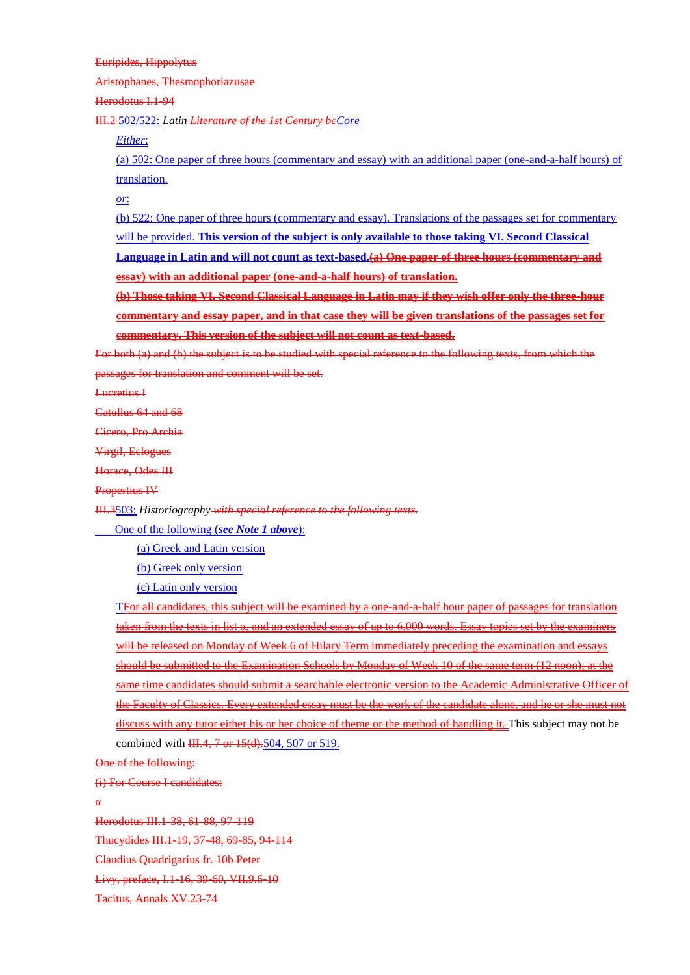Euripides, Hippolytus

Aristophanes, Thesmophoriazusae

Herodotus I.1-94

III.2 502/522: *Latin Literature of the 1st Century bcCore*

*Either*:

(a) 502: One paper of three hours (commentary and essay) with an additional paper (one-and-a-half hours) of translation.

*or*:

(b) 522: One paper of three hours (commentary and essay). Translations of the passages set for commentary

will be provided. **This version of the subject is only available to those taking VI. Second Classical** 

**Language in Latin and will not count as text-based.(a) One paper of three hours (commentary and essay) with an additional paper (one-and-a-half hours) of translation.**

**(b) Those taking VI. Second Classical Language in Latin may if they wish offer only the three-hour commentary and essay paper, and in that case they will be given translations of the passages set for commentary. This version of the subject will not count as text-based.**

For both (a) and (b) the subject is to be studied with special reference to the following texts, from which the passages for translation and comment will be set.

Lucretius I

Catullus 64 and 68

Cicero, Pro Archia

Virgil, Eclogues

Horace, Odes III

Propertius IV

III.3503: *Historiography with special reference to the following texts.*

One of the following (*see Note 1 above*):

(a) Greek and Latin version

(b) Greek only version

(c) Latin only version

TFor all candidates, this subject will be examined by a one-and-a-half hour paper of passages for translation taken from the texts in list  $\alpha$ , and an extended essay of up to 6,000 words. Essay topics set by the examiners will be released on Monday of Week 6 of Hilary Term immediately preceding the examination and essays should be submitted to the Examination Schools by Monday of Week 10 of the same term (12 noon); at the same time candidates should submit a searchable electronic version to the Academic Administrative Officer of the Faculty of Classics. Every extended essay must be the work of the candidate alone, and he or she must not discuss with any tutor either his or her choice of theme or the method of handling it. This subject may not be combined with  $\frac{III.4}{II.7}$  or  $15($ d $).504$ , 507 or 519.

One of the following:

(i) For Course I candidates:

α

Herodotus III.1-38, 61-88, 97-119

Thucydides III.1-19, 37-48, 69-85, 94-114

Claudius Quadrigarius fr. 10b Peter

Livy, preface, I.1-16, 39-60, VII.9.6-10

Tacitus, Annals XV.23-74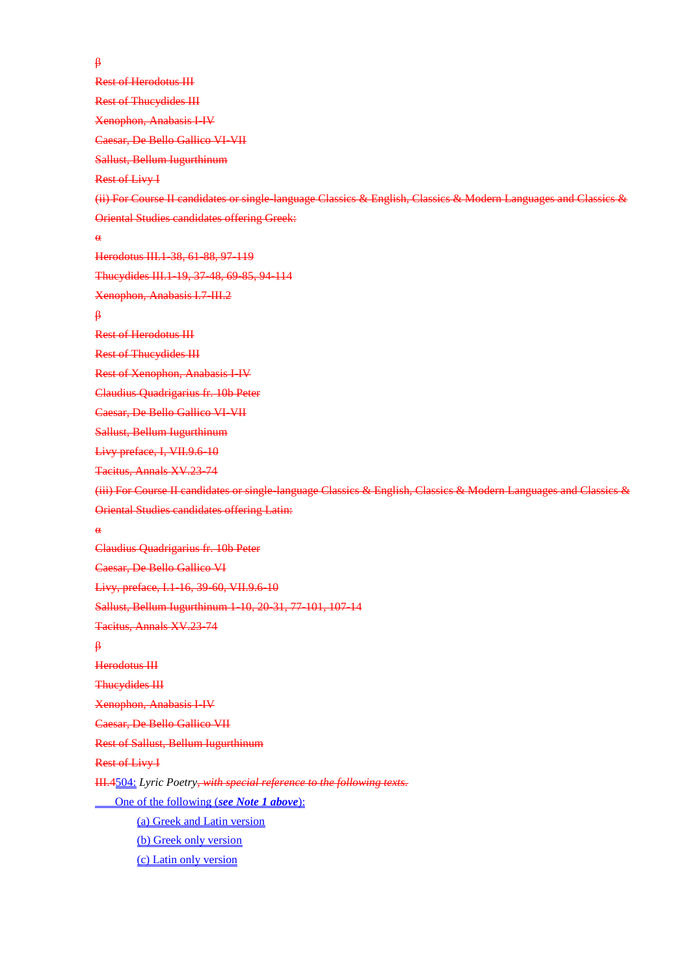β Rest of Herodotus III Rest of Thucydides III Xenophon, Anabasis I-IV Caesar, De Bello Gallico VI-VII Sallust, Bellum Iugurthinum Rest of Livy I (ii) For Course II candidates or single-language Classics & English, Classics & Modern Languages and Classics & Oriental Studies candidates offering Greek: α Herodotus III.1-38, 61-88, 97-119 Thucydides III.1-19, 37-48, 69-85, 94-114 Xenophon, Anabasis I.7-III.2 β Rest of Herodotus III Rest of Thucydides III Rest of Xenophon, Anabasis I-IV Claudius Quadrigarius fr. 10b Peter Caesar, De Bello Gallico VI-VII Sallust, Bellum Iugurthinum Livy preface, I, VII.9.6-10 Tacitus, Annals XV.23-74 (iii) For Course II candidates or single-language Classics & English, Classics & Modern Languages and Classics & Oriental Studies candidates offering Latin: α Claudius Quadrigarius fr. 10b Peter Caesar, De Bello Gallico VI Livy, preface, I.1-16, 39-60, VII.9.6-10 Sallust, Bellum Iugurthinum 1-10, 20-31, 77-101, 107-14 Tacitus, Annals XV.23-74 β Herodotus III Thucydides III Xenophon, Anabasis I-IV Caesar, De Bello Gallico VII Rest of Sallust, Bellum Iugurthinum Rest of Livy I III.4504: *Lyric Poetry, with special reference to the following texts.* One of the following (*see Note 1 above*): (a) Greek and Latin version (b) Greek only version (c) Latin only version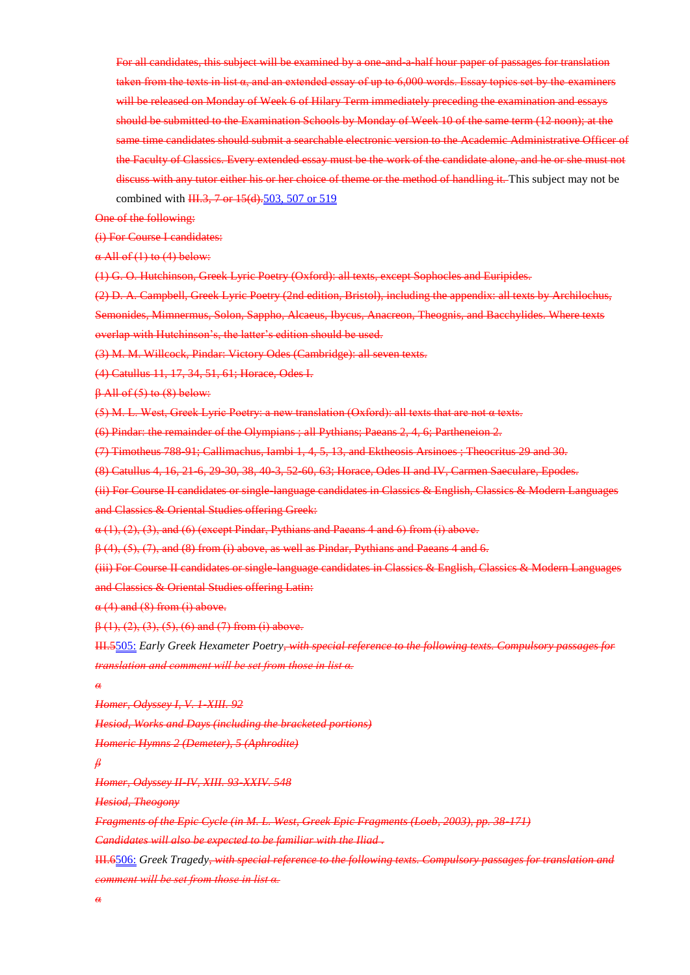For all candidates, this subject will be examined by a one-and-a-half hour paper of passages for translation taken from the texts in list α, and an extended essay of up to 6,000 words. Essay topics set by the examiners will be released on Monday of Week 6 of Hilary Term immediately preceding the examination and essays should be submitted to the Examination Schools by Monday of Week 10 of the same term (12 noon); at the same time candidates should submit a searchable electronic version to the Academic Administrative Officer of the Faculty of Classics. Every extended essay must be the work of the candidate alone, and he or she must not discuss with any tutor either his or her choice of theme or the method of handling it. This subject may not be combined with  $\frac{11.3}{10.5}$   $\frac{7 \text{ or } 15(d)}{503}$ , 507 or 519

One of the following:

(i) For Course I candidates:

 $\alpha$  All of (1) to (4) below:

(1) G. O. Hutchinson, Greek Lyric Poetry (Oxford): all texts, except Sophocles and Euripides.

(2) D. A. Campbell, Greek Lyric Poetry (2nd edition, Bristol), including the appendix: all texts by Archilochus, Semonides, Mimnermus, Solon, Sappho, Alcaeus, Ibycus, Anacreon, Theognis, and Bacchylides. Where texts overlap with Hutchinson's, the latter's edition should be used.

(3) M. M. Willcock, Pindar: Victory Odes (Cambridge): all seven texts.

(4) Catullus 11, 17, 34, 51, 61; Horace, Odes I.

β All of (5) to (8) below:

(5) M. L. West, Greek Lyric Poetry: a new translation (Oxford): all texts that are not α texts.

(6) Pindar: the remainder of the Olympians ; all Pythians; Paeans 2, 4, 6; Partheneion 2.

(7) Timotheus 788-91; Callimachus, Iambi 1, 4, 5, 13, and Ektheosis Arsinoes ; Theocritus 29 and 30.

(8) Catullus 4, 16, 21-6, 29-30, 38, 40-3, 52-60, 63; Horace, Odes II and IV, Carmen Saeculare, Epodes.

(ii) For Course II candidates or single-language candidates in Classics & English, Classics & Modern Languages and Classics & Oriental Studies offering Greek:

 $\alpha$  (1), (2), (3), and (6) (except Pindar, Pythians and Paeans 4 and 6) from (i) above.

 $\beta$  (4), (5), (7), and (8) from (i) above, as well as Pindar, Pythians and Paeans 4 and 6.

(iii) For Course II candidates or single-language candidates in Classics & English, Classics & Modern Languages and Classics & Oriental Studies offering Latin:

 $\alpha$  (4) and (8) from (i) above.

 $\beta$  (1), (2), (3), (5), (6) and (7) from (i) above.

III.5505: *Early Greek Hexameter Poetry, with special reference to the following texts. Compulsory passages for translation and comment will be set from those in list α.*

*α*

*Homer, Odyssey I, V. 1-XIII. 92*

*Hesiod, Works and Days (including the bracketed portions)*

*Homeric Hymns 2 (Demeter), 5 (Aphrodite)*

*β*

*Homer, Odyssey II-IV, XIII. 93-XXIV. 548*

*Hesiod, Theogony*

*Fragments of the Epic Cycle (in M. L. West, Greek Epic Fragments (Loeb, 2003), pp. 38-171)*

*Candidates will also be expected to be familiar with the Iliad .*

III.6506: *Greek Tragedy, with special reference to the following texts. Compulsory passages for translation and comment will be set from those in list α.*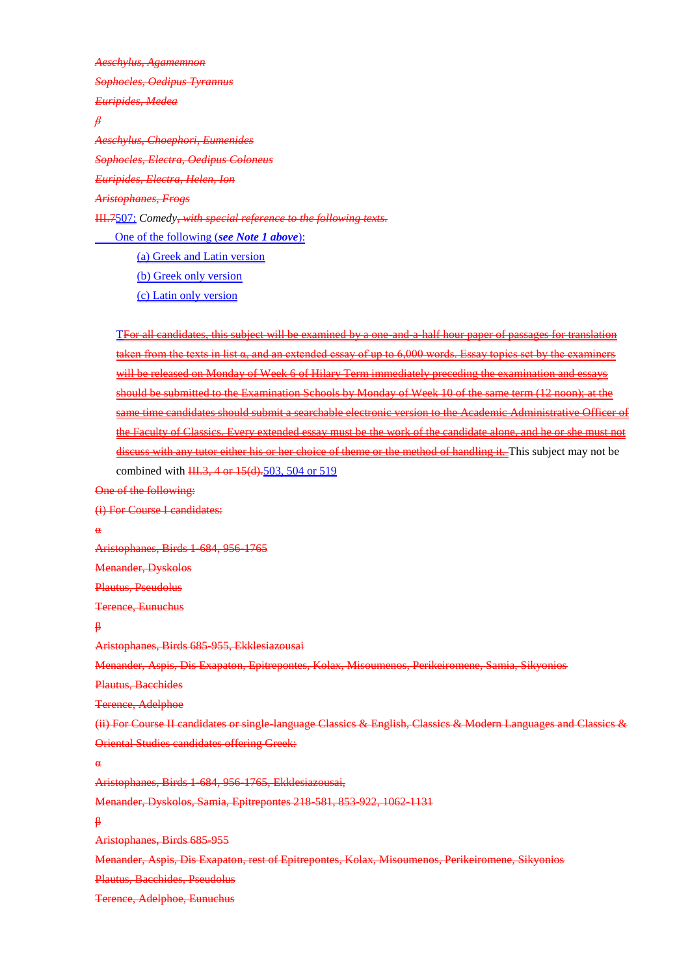*Aeschylus, Agamemnon Sophocles, Oedipus Tyrannus Euripides, Medea β Aeschylus, Choephori, Eumenides Sophocles, Electra, Oedipus Coloneus Euripides, Electra, Helen, Ion Aristophanes, Frogs* III.7507: *Comedy, with special reference to the following texts.*

One of the following (*see Note 1 above*): (a) Greek and Latin version (b) Greek only version (c) Latin only version

TFor all candidates, this subject will be examined by a one-and-a-half hour paper of passages for translation taken from the texts in list α, and an extended essay of up to 6,000 words. Essay topics set by the examiners will be released on Monday of Week 6 of Hilary Term immediately preceding the examination and essays should be submitted to the Examination Schools by Monday of Week 10 of the same term (12 noon); at the same time candidates should submit a searchable electronic version to the Academic Administrative Officer of the Faculty of Classics. Every extended essay must be the work of the candidate alone, and he or she must not discuss with any tutor either his or her choice of theme or the method of handling it. This subject may not be combined with III.3, 4 or 15(d).503, 504 or 519

One of the following:

(i) For Course I candidates:

α

Aristophanes, Birds 1-684, 956-1765

Menander, Dyskolos

Plautus, Pseudolus

Terence, Eunuchus

β

Aristophanes, Birds 685-955, Ekklesiazousai

Menander, Aspis, Dis Exapaton, Epitrepontes, Kolax, Misoumenos, Perikeiromene, Samia, Sikyonios

Plautus, Bacchides

Terence, Adelphoe

(ii) For Course II candidates or single-language Classics & English, Classics & Modern Languages and Classics & Oriental Studies candidates offering Greek:

α

Aristophanes, Birds 1-684, 956-1765, Ekklesiazousai,

Menander, Dyskolos, Samia, Epitrepontes 218-581, 853-922, 1062-1131

β

Aristophanes, Birds 685-955

Menander, Aspis, Dis Exapaton, rest of Epitrepontes, Kolax, Misoumenos, Perikeiromene, Sikyonios

Plautus, Bacchides, Pseudolus

Terence, Adelphoe, Eunuchus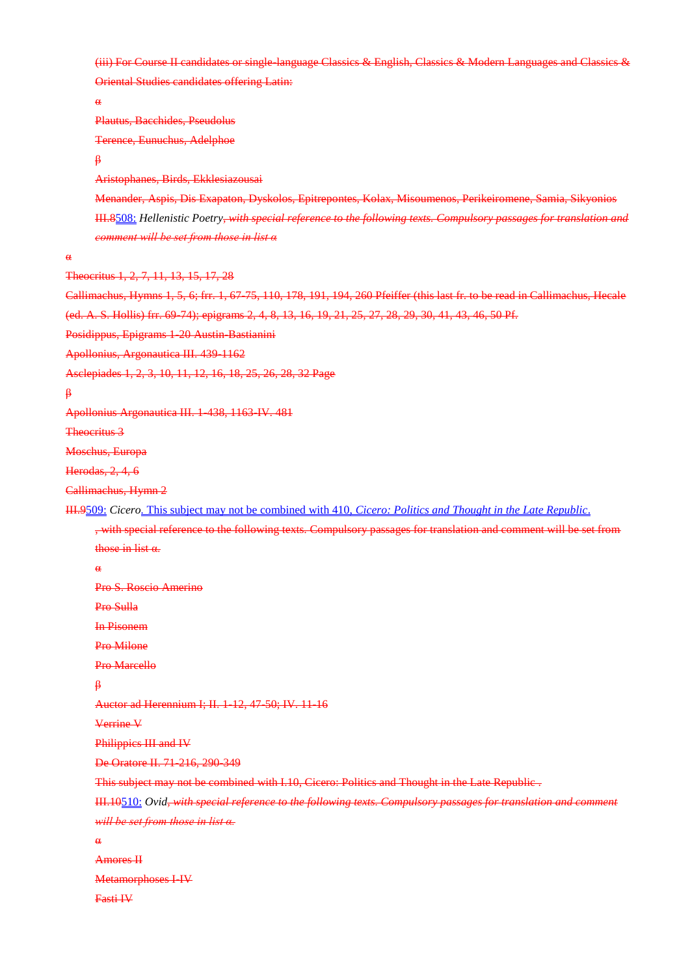(iii) For Course II candidates or single-language Classics & English, Classics & Modern Languages and Classics & Oriental Studies candidates offering Latin:

α

α

β

```
Plautus, Bacchides, Pseudolus
      Terence, Eunuchus, Adelphoe
      β
      Aristophanes, Birds, Ekklesiazousai
      Menander, Aspis, Dis Exapaton, Dyskolos, Epitrepontes, Kolax, Misoumenos, Perikeiromene, Samia, Sikyonios
      III.8508: Hellenistic Poetry, with special reference to the following texts. Compulsory passages for translation and 
      comment will be set from those in list α
Theocritus 1, 2, 7, 11, 13, 15, 17, 28
Callimachus, Hymns 1, 5, 6; frr. 1, 67-75, 110, 178, 191, 194, 260 Pfeiffer (this last fr. to be read in Callimachus, Hecale 
(ed. A. S. Hollis) frr. 69-74); epigrams 2, 4, 8, 13, 16, 19, 21, 25, 27, 28, 29, 30, 41, 43, 46, 50 Pf.
Posidippus, Epigrams 1-20 Austin-Bastianini
Apollonius, Argonautica III. 439-1162
Asclepiades 1, 2, 3, 10, 11, 12, 16, 18, 25, 26, 28, 32 Page
Apollonius Argonautica III. 1-438, 1163-IV. 481
Theocritus 3
Moschus, Europa
Herodas, 2, 4, 6
Callimachus, Hymn 2
III.9509: Cicero. This subject may not be combined with 410, Cicero: Politics and Thought in the Late Republic.
      , with special reference to the following texts. Compulsory passages for translation and comment will be set from 
      those in list α.
      α
      Pro S. Roscio Amerino
      Pro Sulla
      In Pisonem
      Pro Milone
      Pro Marcello
      β
      Auctor ad Herennium I; II. 1-12, 47-50; IV. 11-16
      Verrine V
      Philippics III and IV
      De Oratore II. 71-216, 290-349
      This subject may not be combined with I.10, Cicero: Politics and Thought in the Late Republic .
      III.10510: Ovid, with special reference to the following texts. Compulsory passages for translation and comment
      will be set from those in list α.
      α
      Amores II
      Metamorphoses I-IV
      Fasti IV
```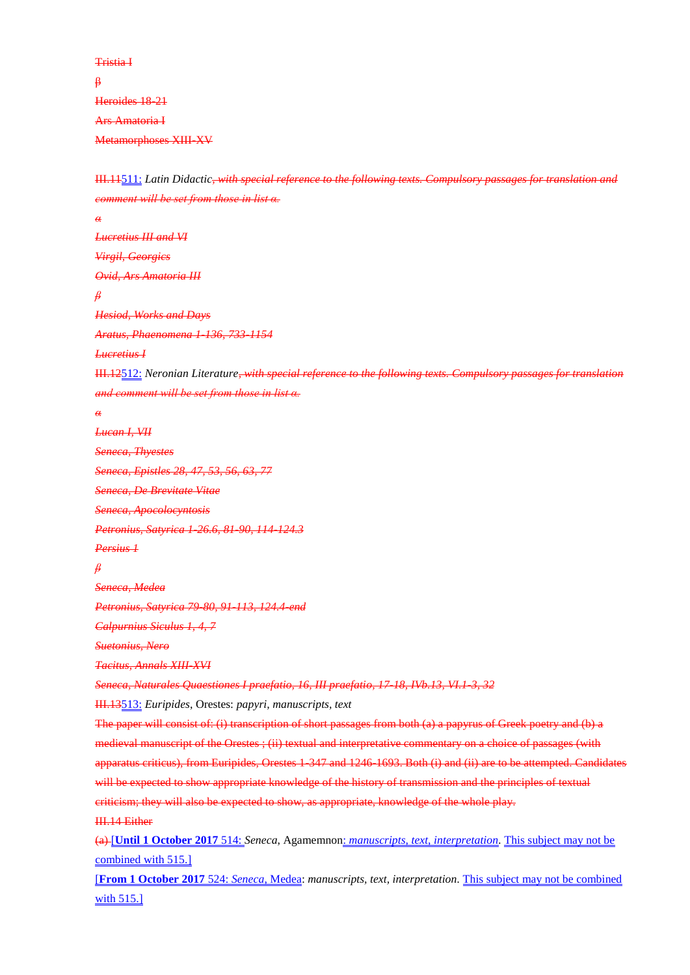Tristia I β Heroides 18-21 Ars Amatoria I Metamorphoses XIII-XV

III.11511: *Latin Didactic, with special reference to the following texts. Compulsory passages for translation and comment will be set from those in list α.*

*α Lucretius III and VI Virgil, Georgics Ovid, Ars Amatoria III β Hesiod, Works and Days Aratus, Phaenomena 1-136, 733-1154 Lucretius I* III.12512: *Neronian Literature, with special reference to the following texts. Compulsory passages for translation and comment will be set from those in list α. α Lucan I, VII Seneca, Thyestes Seneca, Epistles 28, 47, 53, 56, 63, 77 Seneca, De Brevitate Vitae Seneca, Apocolocyntosis Petronius, Satyrica 1-26.6, 81-90, 114-124.3 Persius 1 β Seneca, Medea Petronius, Satyrica 79-80, 91-113, 124.4-end Calpurnius Siculus 1, 4, 7 Suetonius, Nero Tacitus, Annals XIII-XVI Seneca, Naturales Quaestiones I praefatio, 16, III praefatio, 17-18, IVb.13, VI.1-3, 32* III.13513: *Euripides*, Orestes: *papyri, manuscripts, text* The paper will consist of: (i) transcription of short passages from both (a) a papyrus of Greek poetry and (b) a medieval manuscript of the Orestes ; (ii) textual and interpretative commentary on a choice of passages (with apparatus criticus), from Euripides, Orestes 1-347 and 1246-1693. Both (i) and (ii) are to be attempted. Candidates will be expected to show appropriate knowledge of the history of transmission and the principles of textual criticism; they will also be expected to show, as appropriate, knowledge of the whole play. III.14 Either (a) [**Until 1 October 2017** 514: *Seneca*, Agamemnon: *manuscripts, text, interpretation.* This subject may not be combined with 515.]

[**From 1 October 2017** 524: *Seneca*, Medea: *manuscripts, text, interpretation.* This subject may not be combined with 515.]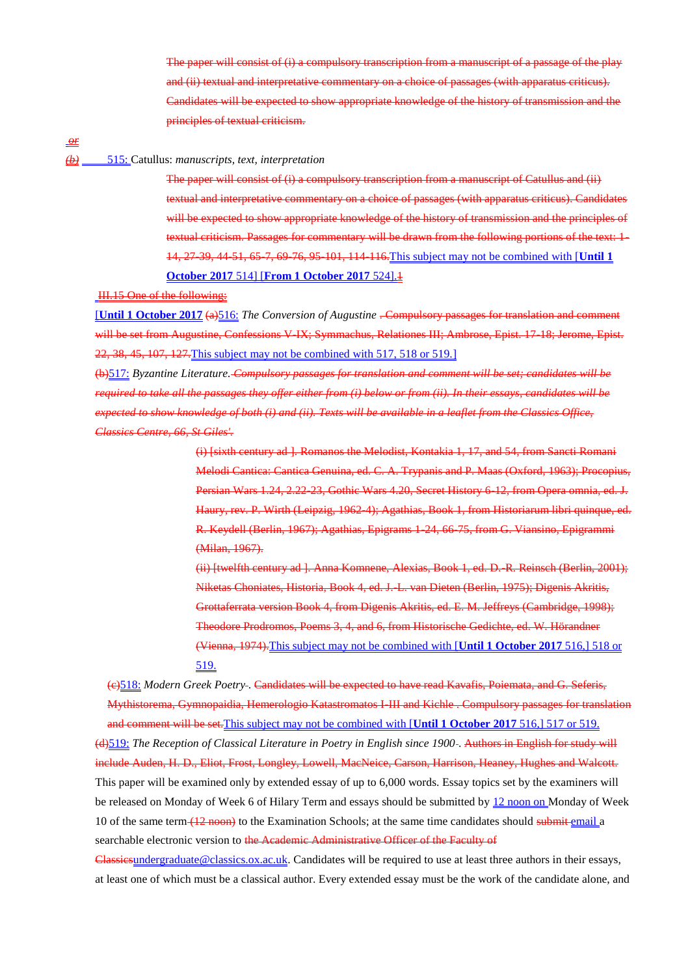The paper will consist of (i) a compulsory transcription from a manuscript of a passage of the play and (ii) textual and interpretative commentary on a choice of passages (with apparatus criticus). Candidates will be expected to show appropriate knowledge of the history of transmission and the principles of textual criticism.

*or*

# *(b)* 515: Catullus: *manuscripts, text, interpretation*

The paper will consist of (i) a compulsory transcription from a manuscript of Catullus and (ii) textual and interpretative commentary on a choice of passages (with apparatus criticus). Candidates will be expected to show appropriate knowledge of the history of transmission and the principles of textual criticism. Passages for commentary will be drawn from the following portions of the text: 1- 14, 27-39, 44-51, 65-7, 69-76, 95-101, 114-116.This subject may not be combined with [**Until 1 October 2017** 514] [**From 1 October 2017** 524].1

### III.15 One of the following:

[**Until 1 October 2017** (a)516: *The Conversion of Augustine* . Compulsory passages for translation and comment will be set from Augustine, Confessions V-IX; Symmachus, Relationes III; Ambrose, Epist. 17-18; Jerome, Epist. 22, 38, 45, 107, 127.This subject may not be combined with 517, 518 or 519.]

(b)517: *Byzantine Literature. Compulsory passages for translation and comment will be set; candidates will be required to take all the passages they offer either from (i) below or from (ii). In their essays, candidates will be expected to show knowledge of both (i) and (ii). Texts will be available in a leaflet from the Classics Office, Classics Centre, 66, St Giles'.*

> (i) [sixth century ad ]. Romanos the Melodist, Kontakia 1, 17, and 54, from Sancti Romani Melodi Cantica: Cantica Genuina, ed. C. A. Trypanis and P. Maas (Oxford, 1963); Procopius, Persian Wars 1.24, 2.22-23, Gothic Wars 4.20, Secret History 6-12, from Opera omnia, ed. J. Haury, rev. P. Wirth (Leipzig, 1962-4); Agathias, Book 1, from Historiarum libri quinque, ed. R. Keydell (Berlin, 1967); Agathias, Epigrams 1-24, 66-75, from G. Viansino, Epigrammi (Milan, 1967).

> (ii) [twelfth century ad ]. Anna Komnene, Alexias, Book 1, ed. D.-R. Reinsch (Berlin, 2001); Niketas Choniates, Historia, Book 4, ed. J.-L. van Dieten (Berlin, 1975); Digenis Akritis, Grottaferrata version Book 4, from Digenis Akritis, ed. E. M. Jeffreys (Cambridge, 1998); Theodore Prodromos, Poems 3, 4, and 6, from Historische Gedichte, ed. W. Hörandner (Vienna, 1974).This subject may not be combined with [**Until 1 October 2017** 516,] 518 or 519.

(c)518: *Modern Greek Poetry* . Candidates will be expected to have read Kavafis, Poiemata, and G. Seferis, Mythistorema, Gymnopaidia, Hemerologio Katastromatos I-III and Kichle . Compulsory passages for translation and comment will be set.This subject may not be combined with [**Until 1 October 2017** 516,] 517 or 519.

(d)519: *The Reception of Classical Literature in Poetry in English since 1900* . Authors in English for study will include Auden, H. D., Eliot, Frost, Longley, Lowell, MacNeice, Carson, Harrison, Heaney, Hughes and Walcott. This paper will be examined only by extended essay of up to 6,000 words. Essay topics set by the examiners will be released on Monday of Week 6 of Hilary Term and essays should be submitted by 12 noon on Monday of Week 10 of the same term (12 noon) to the Examination Schools; at the same time candidates should submit email a searchable electronic version to the Academic Administrative Officer of the Faculty of

Classicsundergraduate@classics.ox.ac.uk. Candidates will be required to use at least three authors in their essays, at least one of which must be a classical author. Every extended essay must be the work of the candidate alone, and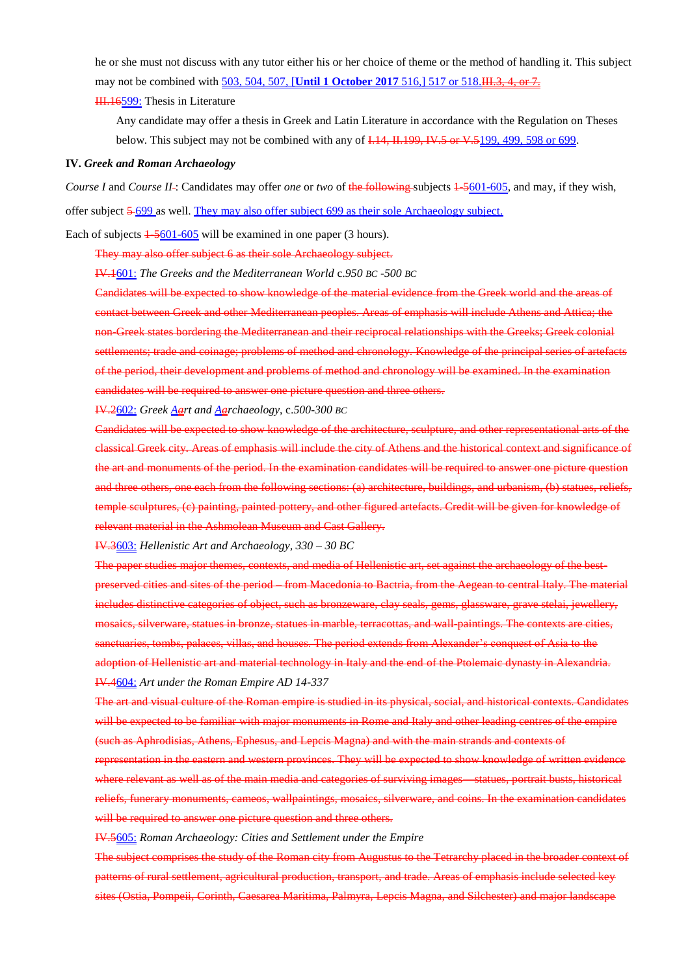he or she must not discuss with any tutor either his or her choice of theme or the method of handling it. This subject may not be combined with 503, 504, 507, [Until 1 October 2017 516,] 517 or 518. H. 3, 4, or 7.

**III.16599:** Thesis in Literature

Any candidate may offer a thesis in Greek and Latin Literature in accordance with the Regulation on Theses below. This subject may not be combined with any of I.14, II.199, IV.5 or V.5199, 499, 598 or 699.

### **IV.** *Greek and Roman Archaeology*

*Course I* and *Course II*-: Candidates may offer *one* or *two* of the following subjects  $\frac{1}{2601-605}$ , and may, if they wish, offer subject 5 699 as well. They may also offer subject 699 as their sole Archaeology subject.

Each of subjects  $\frac{1.5601-605}{2}$  will be examined in one paper (3 hours).

They may also offer subject 6 as their sole Archaeology subject.

IV.1601: *The Greeks and the Mediterranean World* c.*950 BC -500 BC*

Candidates will be expected to show knowledge of the material evidence from the Greek world and the areas of contact between Greek and other Mediterranean peoples. Areas of emphasis will include Athens and Attica; the non-Greek states bordering the Mediterranean and their reciprocal relationships with the Greeks; Greek colonial settlements; trade and coinage; problems of method and chronology. Knowledge of the principal series of artefacts of the period, their development and problems of method and chronology will be examined. In the examination candidates will be required to answer one picture question and three others.

IV.2602: *Greek Aart and Aarchaeology*, c.*500-300 BC*

Candidates will be expected to show knowledge of the architecture, sculpture, and other representational arts of the classical Greek city. Areas of emphasis will include the city of Athens and the historical context and significance of the art and monuments of the period. In the examination candidates will be required to answer one picture question and three others, one each from the following sections: (a) architecture, buildings, and urbanism, (b) statues, reliefs, temple sculptures, (c) painting, painted pottery, and other figured artefacts. Credit will be given for knowledge of relevant material in the Ashmolean Museum and Cast Gallery.

IV.3603: *Hellenistic Art and Archaeology, 330 – 30 BC*

The paper studies major themes, contexts, and media of Hellenistic art, set against the archaeology of the bestpreserved cities and sites of the period – from Macedonia to Bactria, from the Aegean to central Italy. The material includes distinctive categories of object, such as bronzeware, clay seals, gems, glassware, grave stelai, jewellery, mosaics, silverware, statues in bronze, statues in marble, terracottas, and wall-paintings. The contexts are cities, sanctuaries, tombs, palaces, villas, and houses. The period extends from Alexander's conquest of Asia to the adoption of Hellenistic art and material technology in Italy and the end of the Ptolemaic dynasty in Alexandria. IV.4604: *Art under the Roman Empire AD 14-337*

The art and visual culture of the Roman empire is studied in its physical, social, and historical contexts. Candidates will be expected to be familiar with major monuments in Rome and Italy and other leading centres of the empire (such as Aphrodisias, Athens, Ephesus, and Lepcis Magna) and with the main strands and contexts of

representation in the eastern and western provinces. They will be expected to show knowledge of written evidence where relevant as well as of the main media and categories of surviving images—statues, portrait busts, historical reliefs, funerary monuments, cameos, wallpaintings, mosaics, silverware, and coins. In the examination candidates will be required to answer one picture question and three others.

IV.5605: *Roman Archaeology: Cities and Settlement under the Empire*

The subject comprises the study of the Roman city from Augustus to the Tetrarchy placed in the broader context of patterns of rural settlement, agricultural production, transport, and trade. Areas of emphasis include selected key sites (Ostia, Pompeii, Corinth, Caesarea Maritima, Palmyra, Lepcis Magna, and Silchester) and major landscape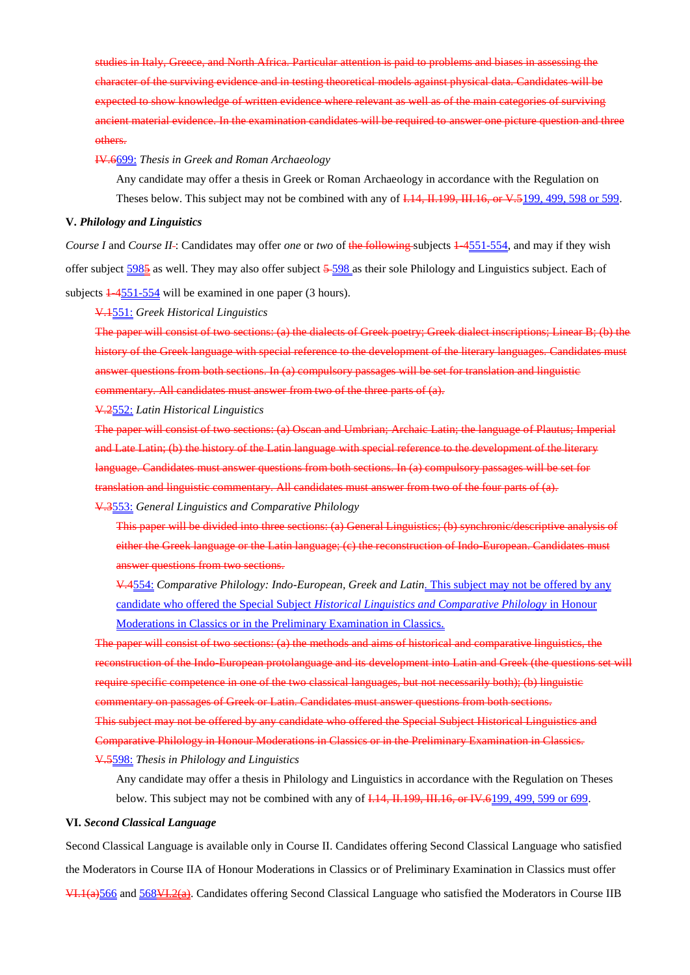studies in Italy, Greece, and North Africa. Particular attention is paid to problems and biases in assessing the character of the surviving evidence and in testing theoretical models against physical data. Candidates will be expected to show knowledge of written evidence where relevant as well as of the main categories of surviving ancient material evidence. In the examination candidates will be required to answer one picture question and three others.

IV.6699: *Thesis in Greek and Roman Archaeology*

Any candidate may offer a thesis in Greek or Roman Archaeology in accordance with the Regulation on Theses below. This subject may not be combined with any of I.14, II.199, III.16, or V.5199, 499, 598 or 599.

### **V.** *Philology and Linguistics*

*Course I* and *Course II* -: Candidates may offer *one* or *two* of the following subjects  $\frac{14551-554}{1000}$ , and may if they wish offer subject 5985 as well. They may also offer subject 5 598 as their sole Philology and Linguistics subject. Each of subjects  $\frac{1}{4551-554}$  will be examined in one paper (3 hours).

### V.1551: *Greek Historical Linguistics*

The paper will consist of two sections: (a) the dialects of Greek poetry; Greek dialect inscriptions; Linear B; (b) the history of the Greek language with special reference to the development of the literary languages. Candidates must answer questions from both sections. In (a) compulsory passages will be set for translation and linguistic commentary. All candidates must answer from two of the three parts of (a).

V.2552: *Latin Historical Linguistics*

The paper will consist of two sections: (a) Oscan and Umbrian; Archaic Latin; the language of Plautus; Imperial and Late Latin; (b) the history of the Latin language with special reference to the development of the literary language. Candidates must answer questions from both sections. In (a) compulsory passages will be set for translation and linguistic commentary. All candidates must answer from two of the four parts of (a).

V.3553: *General Linguistics and Comparative Philology*

This paper will be divided into three sections: (a) General Linguistics; (b) synchronic/descriptive analysis of either the Greek language or the Latin language; (c) the reconstruction of Indo-European. Candidates must answer questions from two sections.

V.4554: *Comparative Philology: Indo-European, Greek and Latin.* This subject may not be offered by any candidate who offered the Special Subject *Historical Linguistics and Comparative Philology* in Honour Moderations in Classics or in the Preliminary Examination in Classics.

The paper will consist of two sections: (a) the methods and aims of historical and comparative linguistics, the reconstruction of the Indo-European protolanguage and its development into Latin and Greek (the questions set will require specific competence in one of the two classical languages, but not necessarily both); (b) linguistic commentary on passages of Greek or Latin. Candidates must answer questions from both sections.

This subject may not be offered by any candidate who offered the Special Subject Historical Linguistics and Comparative Philology in Honour Moderations in Classics or in the Preliminary Examination in Classics.

V.5598: *Thesis in Philology and Linguistics*

Any candidate may offer a thesis in Philology and Linguistics in accordance with the Regulation on Theses below. This subject may not be combined with any of I.14, II.199, III.16, or IV.6199, 499, 599 or 699.

#### **VI.** *Second Classical Language*

Second Classical Language is available only in Course II. Candidates offering Second Classical Language who satisfied the Moderators in Course IIA of Honour Moderations in Classics or of Preliminary Examination in Classics must offer VI.1(a)566 and 568VI.2(a). Candidates offering Second Classical Language who satisfied the Moderators in Course IIB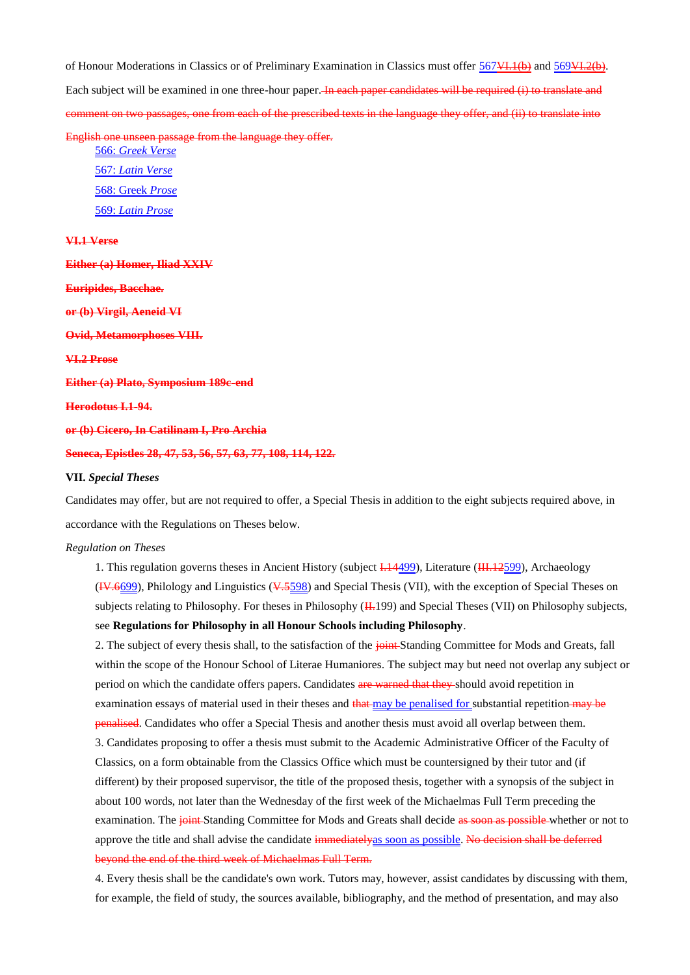of Honour Moderations in Classics or of Preliminary Examination in Classics must offer  $567$ VI.1(b) and  $569$ VI.2(b). Each subject will be examined in one three-hour paper. In each paper candidates will be required (i) to translate and comment on two passages, one from each of the prescribed texts in the language they offer, and (ii) to translate into

English one unseen passage from the language they offer. 566: *Greek Verse*

567: *Latin Verse* 568: Greek *Prose* 569: *Latin Prose*

**VI.1 Verse**

**Either (a) Homer, Iliad XXIV Euripides, Bacchae. or (b) Virgil, Aeneid VI Ovid, Metamorphoses VIII. VI.2 Prose Either (a) Plato, Symposium 189c-end Herodotus I.1-94. or (b) Cicero, In Catilinam I, Pro Archia Seneca, Epistles 28, 47, 53, 56, 57, 63, 77, 108, 114, 122.**

#### **VII.** *Special Theses*

Candidates may offer, but are not required to offer, a Special Thesis in addition to the eight subjects required above, in accordance with the Regulations on Theses below.

### *Regulation on Theses*

1. This regulation governs theses in Ancient History (subject  $\frac{1.14499}{1.14499}$ ), Literature ( $\frac{1.1472599}{1.14499}$ ), Archaeology (IV.6699), Philology and Linguistics (V.5598) and Special Thesis (VII), with the exception of Special Theses on subjects relating to Philosophy. For theses in Philosophy ( $\overline{H}$ .199) and Special Theses (VII) on Philosophy subjects, see **Regulations for Philosophy in all Honour Schools including Philosophy**.

2. The subject of every thesis shall, to the satisfaction of the joint-Standing Committee for Mods and Greats, fall within the scope of the Honour School of Literae Humaniores. The subject may but need not overlap any subject or period on which the candidate offers papers. Candidates are warned that they should avoid repetition in examination essays of material used in their theses and that may be penalised for substantial repetition may be penalised. Candidates who offer a Special Thesis and another thesis must avoid all overlap between them. 3. Candidates proposing to offer a thesis must submit to the Academic Administrative Officer of the Faculty of Classics, on a form obtainable from the Classics Office which must be countersigned by their tutor and (if different) by their proposed supervisor, the title of the proposed thesis, together with a synopsis of the subject in about 100 words, not later than the Wednesday of the first week of the Michaelmas Full Term preceding the examination. The *joint* Standing Committee for Mods and Greats shall decide as soon as possible whether or not to approve the title and shall advise the candidate immediatelyas soon as possible. No decision shall be deferred beyond the end of the third week of Michaelmas Full Term.

4. Every thesis shall be the candidate's own work. Tutors may, however, assist candidates by discussing with them, for example, the field of study, the sources available, bibliography, and the method of presentation, and may also